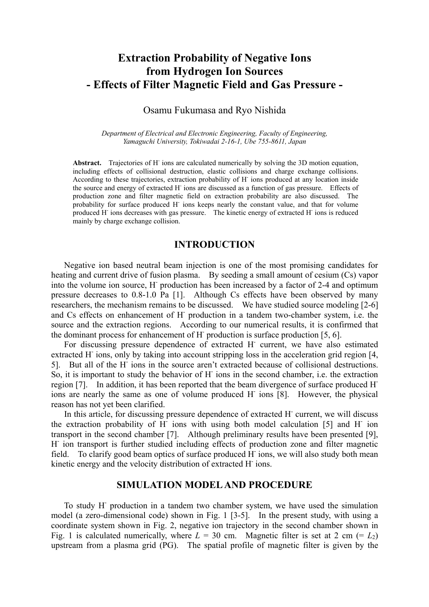# **Extraction Probability of Negative Ions from Hydrogen Ion Sources - Effects of Filter Magnetic Field and Gas Pressure -**

# Osamu Fukumasa and Ryo Nishida

*Department of Electrical and Electronic Engineering, Faculty of Engineering, Yamaguchi University, Tokiwadai 2-16-1, Ube 755-8611, Japan* 

Abstract. Trajectories of H<sup>-</sup>ions are calculated numerically by solving the 3D motion equation, including effects of collisional destruction, elastic collisions and charge exchange collisions. According to these trajectories, extraction probability of H- ions produced at any location inside the source and energy of extracted H- ions are discussed as a function of gas pressure. Effects of production zone and filter magnetic field on extraction probability are also discussed. The probability for surface produced H<sup>-</sup> ions keeps nearly the constant value, and that for volume produced H- ions decreases with gas pressure. The kinetic energy of extracted H- ions is reduced mainly by charge exchange collision.

# **INTRODUCTION**

Negative ion based neutral beam injection is one of the most promising candidates for heating and current drive of fusion plasma. By seeding a small amount of cesium (Cs) vapor into the volume ion source, H- production has been increased by a factor of 2-4 and optimum pressure decreases to 0.8-1.0 Pa [1]. Although Cs effects have been observed by many researchers, the mechanism remains to be discussed. We have studied source modeling [2-6] and Cs effects on enhancement of H- production in a tandem two-chamber system, i.e. the source and the extraction regions. According to our numerical results, it is confirmed that the dominant process for enhancement of H- production is surface production [5, 6].

For discussing pressure dependence of extracted H<sup>-</sup> current, we have also estimated extracted H<sup>-</sup> ions, only by taking into account stripping loss in the acceleration grid region [4, 5]. But all of the H- ions in the source aren't extracted because of collisional destructions. So, it is important to study the behavior of H<sup>-</sup> ions in the second chamber, i.e. the extraction region [7]. In addition, it has been reported that the beam divergence of surface produced Hions are nearly the same as one of volume produced H- ions [8]. However, the physical reason has not yet been clarified.

In this article, for discussing pressure dependence of extracted H<sup>-</sup> current, we will discuss the extraction probability of H<sup>-</sup> ions with using both model calculation [5] and H<sup>-</sup> ion transport in the second chamber [7]. Although preliminary results have been presented [9], H<sup>-</sup> ion transport is further studied including effects of production zone and filter magnetic field. To clarify good beam optics of surface produced H ions, we will also study both mean kinetic energy and the velocity distribution of extracted H- ions.

# **SIMULATION MODEL AND PROCEDURE**

To study H- production in a tandem two chamber system, we have used the simulation model (a zero-dimensional code) shown in Fig. 1 [3-5]. In the present study, with using a coordinate system shown in Fig. 2, negative ion trajectory in the second chamber shown in Fig. 1 is calculated numerically, where  $L = 30$  cm. Magnetic filter is set at 2 cm (=  $L_2$ ) upstream from a plasma grid (PG). The spatial profile of magnetic filter is given by the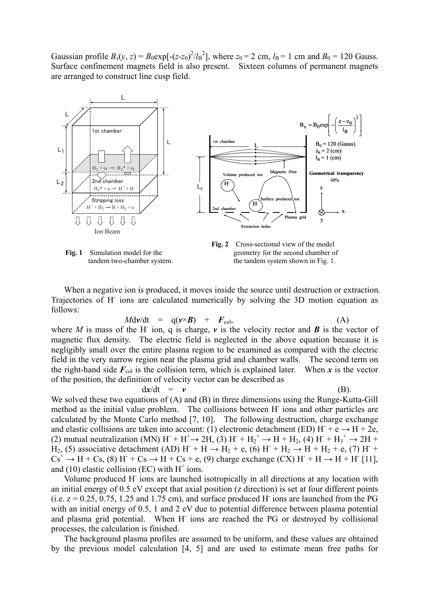Gaussian profile  $B_x(y, z) = B_0 \exp[-(z-z_0)^2/l_B^2]$ , where  $z_0 = 2$  cm,  $l_B = 1$  cm and  $B_0 = 120$  Gauss. Surface confinement magnets field is also present. Sixteen columns of permanent magnets are arranged to construct line cusp field.





When a negative ion is produced, it moves inside the source until destruction or extraction. Trajectories of H- ions are calculated numerically by solving the 3D motion equation as follows:

$$
M \text{d}\nu/\text{d}t = q(\nu \times \boldsymbol{B}) + \boldsymbol{F}_{\text{col}}, \tag{A}
$$

where *M* is mass of the H ion, q is charge,  $\nu$  is the velocity rector and **B** is the vector of magnetic flux density. The electric field is neglected in the above equation because it is negligibly small over the entire plasma region to be examined as compared with the electric field in the very narrow region near the plasma grid and chamber walls. The second term on the right-hand side  $F_{\text{col}}$  is the collision term, which is explained later. When *x* is the vector of the position, the definition of velocity vector can be described as

$$
dx/dt = v \tag{B}
$$

We solved these two equations of (A) and (B) in three dimensions using the Runge-Kutta-Gill method as the initial value problem. The collisions between H- ions and other particles are calculated by the Monte Carlo method [7, 10]. The following destruction, charge exchange and elastic collisions are taken into account: (1) electronic detachment (ED) H<sup>+</sup> e  $\rightarrow$  H + 2e, (2) mutual neutralization (MN)  $H^+ + H^+ \rightarrow 2H$ , (3)  $H^+ + H_2^+ \rightarrow H^+ + H_2$ , (4)  $H^+ + H_3^+ \rightarrow 2H^+$  $\text{H}_2$ , (5) associative detachment (AD) H<sup>+</sup> + H  $\rightarrow$  H<sub>2</sub> + e, (6) H<sup>+</sup> + H<sub>2</sub>  $\rightarrow$  H<sup>+</sup> + H<sub>2</sub> + e, (7) H<sup>+</sup>  $Cs^+ \rightarrow H + Cs$ , (8) H + Cs  $\rightarrow H + Cs + e$ , (9) charge exchange (CX) H + H  $\rightarrow H + H$  [11], and (10) elastic collision (EC) with  $H^+$  ions.

Volume produced H- ions are launched isotropically in all directions at any location with an initial energy of 0.5 eV except that axial position (z direction) is set at four different points  $(i.e. z = 0.25, 0.75, 1.25, and 1.75, cm)$ , and surface produced H ions are launched from the PG with an initial energy of 0.5, 1 and 2 eV due to potential difference between plasma potential and plasma grid potential. When H- ions are reached the PG or destroyed by collisional processes, the calculation is finished.

The background plasma profiles are assumed to be uniform, and these values are obtained by the previous model calculation [4, 5] and are used to estimate mean free paths for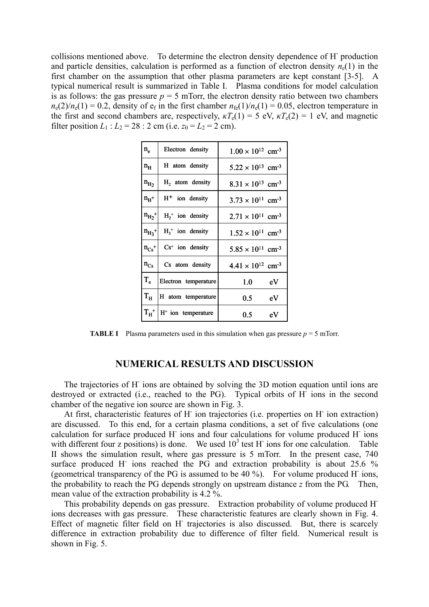collisions mentioned above. To determine the electron density dependence of H- production and particle densities, calculation is performed as a function of electron density  $n_e(1)$  in the first chamber on the assumption that other plasma parameters are kept constant [3-5]. A typical numerical result is summarized in Table I. Plasma conditions for model calculation is as follows: the gas pressure  $p = 5$  mTorr, the electron density ratio between two chambers  $n_e(2)/n_e(1) = 0.2$ , density of  $e_f$  in the first chamber  $n_{fe}(1)/n_e(1) = 0.05$ , electron temperature in the first and second chambers are, respectively,  $\kappa T_e(1) = 5$  eV,  $\kappa T_e(2) = 1$  eV, and magnetic filter position  $L_1$  :  $L_2 = 28$  : 2 cm (i.e.  $z_0 = L_2 = 2$  cm).

| $\mathbf{n}_{\mathrm{e}}$  | Electron density               | $1.00 \times 10^{12}$ cm <sup>-3</sup> |
|----------------------------|--------------------------------|----------------------------------------|
| $\mathbf{n}_{\rm H}$       | H atom density                 | $5.22 \times 10^{13}$ cm <sup>-3</sup> |
| $n_{H_2}$                  | H <sub>2</sub> atom density    | $8.31 \times 10^{13}$ cm <sup>-3</sup> |
| $n_{\rm H}$ +              | $H+$ ion density               | $3.73 \times 10^{11}$ cm <sup>-3</sup> |
| $n_{\rm H_2}$ <sup>+</sup> | $H_2$ <sup>+</sup> ion density | $2.71 \times 10^{11}$ cm <sup>-3</sup> |
| $n_{H_2}$ +                | $H_3$ <sup>+</sup> ion density | $1.52 \times 10^{11}$ cm <sup>-3</sup> |
| $n_{Cs}$ +                 | $Cs+$ ion density              | $5.85 \times 10^{11}$ cm <sup>-3</sup> |
| $n_{Cs}$                   | Cs atom density                | $4.41 \times 10^{12}$ cm <sup>-3</sup> |
| $T_e$                      | Electron temperature           | 1.0 <sub>l</sub><br>eV                 |
| $\rm T_H$                  | H atom temperature             | 0.5<br>eV                              |
| $T_H^+$                    | $H+$ ion temperature           | 0.5<br>eV                              |

**TABLE I** Plasma parameters used in this simulation when gas pressure  $p = 5$  mTorr.

# **NUMERICAL RESULTS AND DISCUSSION**

The trajectories of H- ions are obtained by solving the 3D motion equation until ions are destroyed or extracted (i.e., reached to the PG). Typical orbits of H<sup>-</sup> ions in the second chamber of the negative ion source are shown in Fig. 3.

At first, characteristic features of H ion trajectories (i.e. properties on H ion extraction) are discussed. To this end, for a certain plasma conditions, a set of five calculations (one calculation for surface produced H- ions and four calculations for volume produced H- ions with different four z positions) is done. We used  $10<sup>3</sup>$  test H ions for one calculation. Table II shows the simulation result, where gas pressure is 5 mTorr. In the present case, 740 surface produced H ions reached the PG and extraction probability is about 25.6 % (geometrical transparency of the PG is assumed to be 40 %). For volume produced H- ions, the probability to reach the PG depends strongly on upstream distance *z* from the PG. Then, mean value of the extraction probability is 4.2 %.

This probability depends on gas pressure. Extraction probability of volume produced Hions decreases with gas pressure. These characteristic features are clearly shown in Fig. 4. Effect of magnetic filter field on H<sup>-</sup> trajectories is also discussed. But, there is scarcely difference in extraction probability due to difference of filter field. Numerical result is shown in Fig. 5.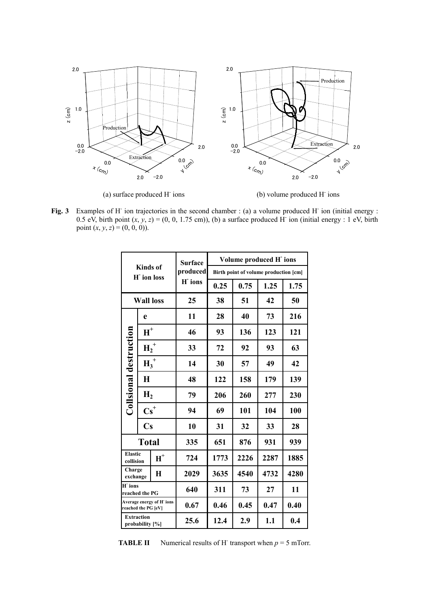

(a) surface produced H-

ions (b) volume produced H- ions

Fig. 3 Examples of H<sup>-</sup> ion trajectories in the second chamber : (a) a volume produced H<sup>-</sup> ion (initial energy : 0.5 eV, birth point  $(x, y, z) = (0, 0, 1.75$  cm)), (b) a surface produced H ion (initial energy : 1 eV, birth point  $(x, y, z) = (0, 0, 0)$ .

| <b>Kinds</b> of<br><b>H</b> ion loss            |                        | <b>Surface</b><br>produced<br>H ions | Volume produced H ions                |      |      |      |      |
|-------------------------------------------------|------------------------|--------------------------------------|---------------------------------------|------|------|------|------|
|                                                 |                        |                                      | Birth point of volume production [cm] |      |      |      |      |
|                                                 |                        |                                      | 0.25                                  | 0.75 | 1.25 | 1.75 |      |
| <b>Wall loss</b>                                |                        | 25                                   | 38                                    | 51   | 42   | 50   |      |
|                                                 | e                      |                                      | 11                                    | 28   | 40   | 73   | 216  |
| Collsional destruction                          | $H^+$                  |                                      | 46                                    | 93   | 136  | 123  | 121  |
|                                                 | $H_2^+$                |                                      | 33                                    | 72   | 92   | 93   | 63   |
|                                                 | $H_3^+$                |                                      | 14                                    | 30   | 57   | 49   | 42   |
|                                                 | $\bf{H}$               |                                      | 48                                    | 122  | 158  | 179  | 139  |
|                                                 | H <sub>2</sub>         |                                      | 79                                    | 206  | 260  | 277  | 230  |
|                                                 | $\text{Cs}^+$          |                                      | 94                                    | 69   | 101  | 104  | 100  |
|                                                 | $\mathbf{C}\mathbf{s}$ |                                      | 10                                    | 31   | 32   | 33   | 28   |
| <b>Total</b>                                    |                        | 335                                  | 651                                   | 876  | 931  | 939  |      |
| <b>Elastic</b><br>collision                     |                        | $\boldsymbol{\textbf{H}}^+$          | 724                                   | 1773 | 2226 | 2287 | 1885 |
| Charge<br>exchange                              |                        | $\bf{H}$                             | 2029                                  | 3635 | 4540 | 4732 | 4280 |
| H ions<br>reached the PG                        |                        |                                      | 640                                   | 311  | 73   | 27   | 11   |
| Average energy of H ions<br>reached the PG [eV] |                        |                                      | 0.67                                  | 0.46 | 0.45 | 0.47 | 0.40 |
| <b>Extraction</b><br>probability [%]            |                        | 25.6                                 | 12.4                                  | 2.9  | 1.1  | 0.4  |      |

**TABLE II** Numerical results of H<sup>-</sup> transport when  $p = 5$  mTorr.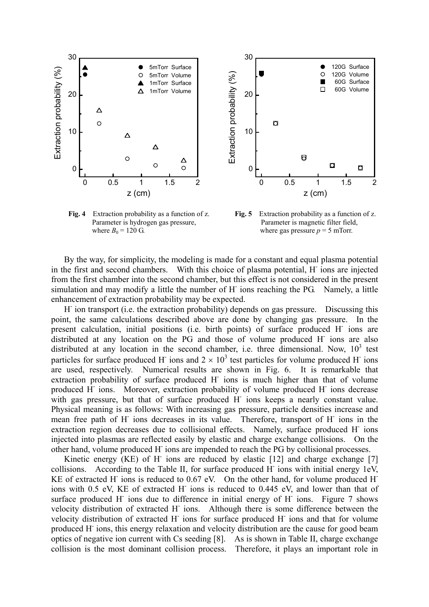



where  $B_0 = 120 \text{ G}$ . where gas pressure  $p = 5 \text{ mTorr}$ .

**Fig. 4** Extraction probability as a function of z. **Fig. 5** Extraction probability as a function of z. Parameter is hydrogen gas pressure, Parameter is magnetic filter field,

By the way, for simplicity, the modeling is made for a constant and equal plasma potential in the first and second chambers. With this choice of plasma potential, H- ions are injected from the first chamber into the second chamber, but this effect is not considered in the present simulation and may modify a little the number of H ions reaching the PG. Namely, a little enhancement of extraction probability may be expected.

H ion transport (i.e. the extraction probability) depends on gas pressure. Discussing this point, the same calculations described above are done by changing gas pressure. In the present calculation, initial positions (i.e. birth points) of surface produced H- ions are distributed at any location on the PG and those of volume produced H- ions are also distributed at any location in the second chamber, i.e. three dimensional. Now,  $10^3$  test particles for surface produced H ions and  $2 \times 10^3$  test particles for volume produced H ions are used, respectively. Numerical results are shown in Fig. 6. It is remarkable that extraction probability of surface produced H- ions is much higher than that of volume produced H<sup>-</sup> ions. Moreover, extraction probability of volume produced H<sup>-</sup> ions decrease with gas pressure, but that of surface produced H ions keeps a nearly constant value. Physical meaning is as follows: With increasing gas pressure, particle densities increase and mean free path of H ions decreases in its value. Therefore, transport of H ions in the extraction region decreases due to collisional effects. Namely, surface produced H<sup>-</sup> ions injected into plasmas are reflected easily by elastic and charge exchange collisions. On the other hand, volume produced H- ions are impended to reach the PG by collisional processes.

Kinetic energy (KE) of H ions are reduced by elastic  $[12]$  and charge exchange  $[7]$ collisions. According to the Table II, for surface produced  $H$  ions with initial energy 1eV, KE of extracted H<sup>-</sup> ions is reduced to 0.67 eV. On the other hand, for volume produced H<sup>-</sup> ions with 0.5 eV, KE of extracted H- ions is reduced to 0.445 eV, and lower than that of surface produced H<sup>-</sup> ions due to difference in initial energy of H<sup>-</sup> ions. Figure 7 shows velocity distribution of extracted H ions. Although there is some difference between the velocity distribution of extracted H ions for surface produced H ions and that for volume produced H- ions, this energy relaxation and velocity distribution are the cause for good beam optics of negative ion current with Cs seeding [8]. As is shown in Table II, charge exchange collision is the most dominant collision process. Therefore, it plays an important role in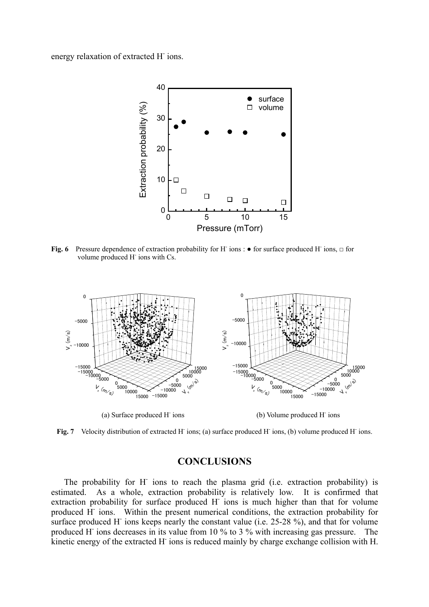energy relaxation of extracted H<sup>-</sup>ions.



Fig. 6 Pressure dependence of extraction probability for H<sup>-</sup> ions :  $\bullet$  for surface produced H<sup>-</sup> ions, □ for volume produced H ions with Cs.



Fig. 7 Velocity distribution of extracted H<sup>-</sup> ions; (a) surface produced H<sup>-</sup> ions, (b) volume produced H<sup>-</sup> ions.

# **CONCLUSIONS**

The probability for H ions to reach the plasma grid (i.e. extraction probability) is estimated. As a whole, extraction probability is relatively low. It is confirmed that extraction probability for surface produced H- ions is much higher than that for volume produced H ions. Within the present numerical conditions, the extraction probability for surface produced H ions keeps nearly the constant value (i.e. 25-28 %), and that for volume produced H- ions decreases in its value from 10 % to 3 % with increasing gas pressure. The kinetic energy of the extracted H ions is reduced mainly by charge exchange collision with H.